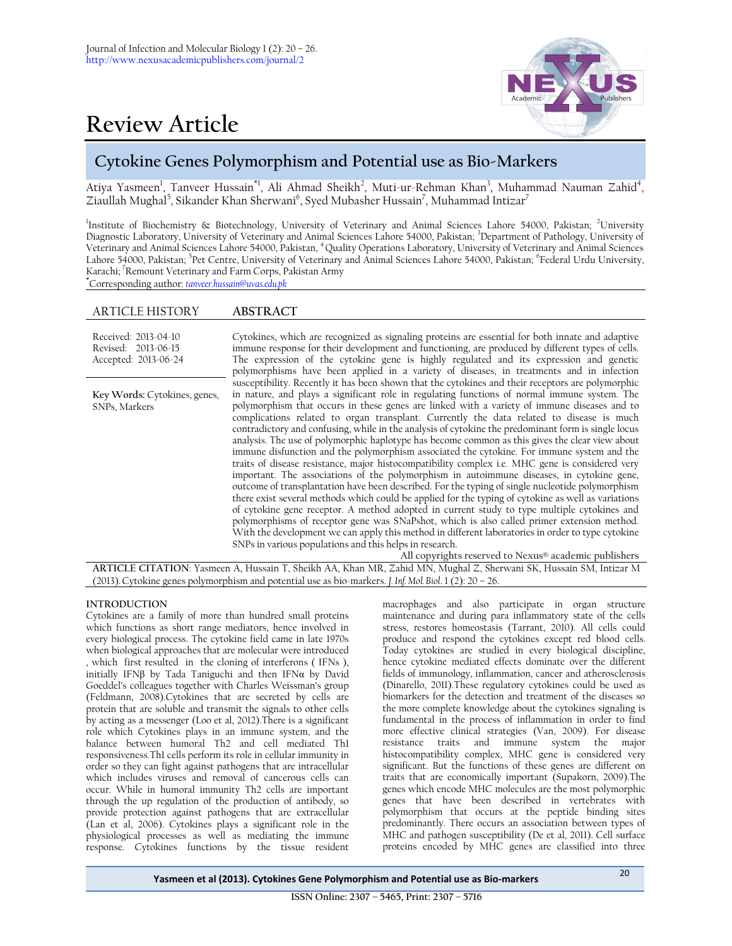# **Review Article**



# **Cytokine Genes Polymorphism and Potential use as Bio-Markers**

Atiya Yasmeen<sup>1</sup>, Tanveer Hussain<sup>\*1</sup>, Ali Ahmad Sheikh<sup>2</sup>, Muti-ur-Rehman Khan<sup>3</sup>, Muhammad Nauman Zahid<sup>4</sup>, Ziaullah Mughal $^5$ , Sikander Khan Sherwani $^6$ , Syed Mubasher Hussain $^7$ , Muhammad Intizar $^7$ 

Institute of Biochemistry & Biotechnology, University of Veterinary and Animal Sciences Lahore 54000, Pakistan; <sup>2</sup>University Diagnostic Laboratory, University of Veterinary and Animal Sciences Lahore 54000, Pakistan; 3Department of Pathology, University of Veterinary and Animal Sciences Lahore 54000, Pakistan, <sup>4</sup>Quality Operations Laboratory, University of Veterinary and Animal Sciences Lahore 54000, Pakistan; <sup>5</sup>Pet Centre, University of Veterinary and Animal Sciences Lahore 54000, Pakistan; <sup>6</sup>Federal Urdu University, Karachi; <sup>7</sup>Remount Veterinary and Farm Corps, Pakistan Army

**\***Corresponding author: *[tanveer.hussain@uvas.edu.pk](mailto:tanveer.hussain@uvas.edu.pk)*

# ARTICLE HISTORY **ABSTRACT**

| Received: 2013-04-10<br>Revised: 2013-06-15<br>Accepted: 2013-06-24 | Cytokines, which are recognized as signaling proteins are essential for both innate and adaptive<br>immune response for their development and functioning, are produced by different types of cells.<br>The expression of the cytokine gene is highly regulated and its expression and genetic<br>polymorphisms have been applied in a variety of diseases, in treatments and in infection                                                                                                                                                                                                                                                                                                                                                                                                                                                                                                                                                                                                                                                                                                                                                                                                                                                                                                                                                                                                                                                                                                                                            |
|---------------------------------------------------------------------|---------------------------------------------------------------------------------------------------------------------------------------------------------------------------------------------------------------------------------------------------------------------------------------------------------------------------------------------------------------------------------------------------------------------------------------------------------------------------------------------------------------------------------------------------------------------------------------------------------------------------------------------------------------------------------------------------------------------------------------------------------------------------------------------------------------------------------------------------------------------------------------------------------------------------------------------------------------------------------------------------------------------------------------------------------------------------------------------------------------------------------------------------------------------------------------------------------------------------------------------------------------------------------------------------------------------------------------------------------------------------------------------------------------------------------------------------------------------------------------------------------------------------------------|
| Key Words: Cytokines, genes,<br>SNPs, Markers                       | susceptibility. Recently it has been shown that the cytokines and their receptors are polymorphic<br>in nature, and plays a significant role in regulating functions of normal immune system. The<br>polymorphism that occurs in these genes are linked with a variety of immune diseases and to<br>complications related to organ transplant. Currently the data related to disease is much<br>contradictory and confusing, while in the analysis of cytokine the predominant form is single locus<br>analysis. The use of polymorphic haplotype has become common as this gives the clear view about<br>immune disfunction and the polymorphism associated the cytokine. For immune system and the<br>traits of disease resistance, major histocompatibility complex i.e. MHC gene is considered very<br>important. The associations of the polymorphism in autoimmune diseases, in cytokine gene,<br>outcome of transplantation have been described. For the typing of single nucleotide polymorphism<br>there exist several methods which could be applied for the typing of cytokine as well as variations<br>of cytokine gene receptor. A method adopted in current study to type multiple cytokines and<br>polymorphisms of receptor gene was SNaPshot, which is also called primer extension method.<br>With the development we can apply this method in different laboratories in order to type cytokine<br>SNPs in various populations and this helps in research.<br>All copyrights reserved to Nexus® academic publishers |

**ARTICLE CITATION**: Yasmeen A, Hussain T, Sheikh AA, Khan MR, Zahid MN, Mughal Z, Sherwani SK, Hussain SM, Intizar M (2013).Cytokine genes polymorphism and potential use as bio-markers. *J. Inf. Mol. Biol*. 1 (2): 20 – 26.

# **INTRODUCTION**

Cytokines are a family of more than hundred small proteins which functions as short range mediators, hence involved in every biological process. The cytokine field came in late 1970s when biological approaches that are molecular were introduced , which first resulted in the cloning of interferons ( IFNs ), initially IFN $\beta$  by Tada Taniguchi and then IFN $\alpha$  by David Goeddel's colleagues together with Charles Weissman's group (Feldmann, 2008).Cytokines that are secreted by cells are protein that are soluble and transmit the signals to other cells by acting as a messenger (Loo et al, 2012).There is a significant role which Cytokines plays in an immune system, and the balance between humoral Th2 and cell mediated Th1 responsiveness.Th1 cells perform its role in cellular immunity in order so they can fight against pathogens that are intracellular which includes viruses and removal of cancerous cells can occur. While in humoral immunity Th2 cells are important through the up regulation of the production of antibody, so provide protection against pathogens that are extracellular (Lan et al, 2006). Cytokines plays a significant role in the physiological processes as well as mediating the immune response. Cytokines functions by the tissue resident

macrophages and also participate in organ structure maintenance and during para inflammatory state of the cells stress, restores homeostasis (Tarrant, 2010). All cells could produce and respond the cytokines except red blood cells. Today cytokines are studied in every biological discipline, hence cytokine mediated effects dominate over the different fields of immunology, inflammation, cancer and atherosclerosis (Dinarello, 2011).These regulatory cytokines could be used as biomarkers for the detection and treatment of the diseases so the more complete knowledge about the cytokines signaling is fundamental in the process of inflammation in order to find more effective clinical strategies (Van, 2009). For disease resistance traits and immune system the major histocompatibility complex, MHC gene is considered very significant. But the functions of these genes are different on traits that are economically important (Supakorn, 2009).The genes which encode MHC molecules are the most polymorphic genes that have been described in vertebrates with polymorphism that occurs at the peptide binding sites predominantly. There occurs an association between types of MHC and pathogen susceptibility (De et al, 2011). Cell surface proteins encoded by MHC genes are classified into three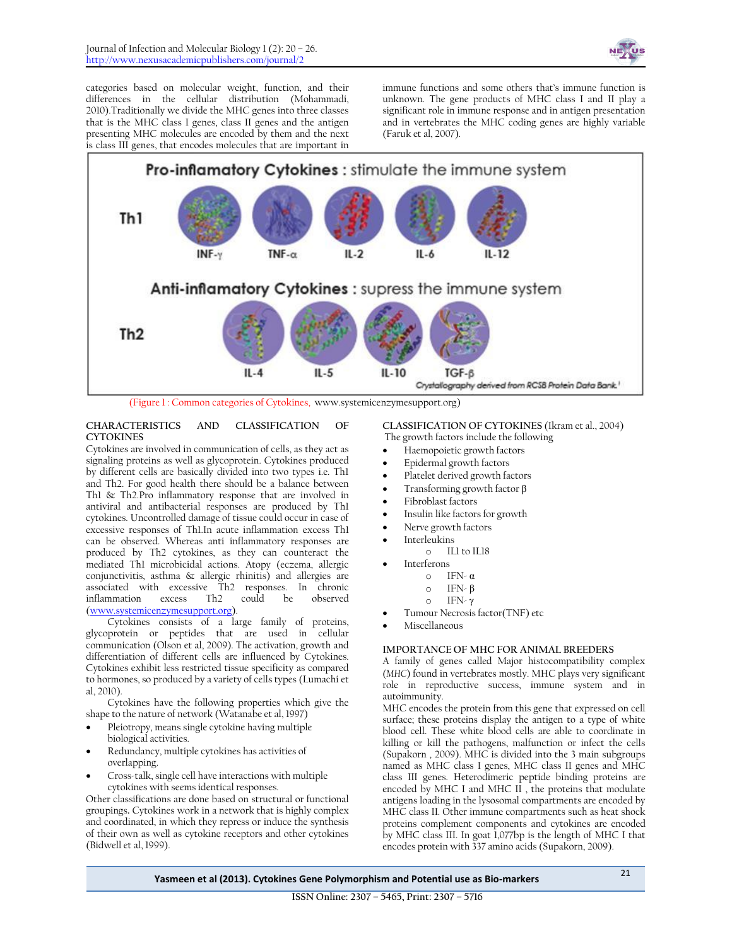

categories based on molecular weight, function, and their differences in the cellular distribution (Mohammadi, 2010).Traditionally we divide the MHC genes into three classes that is the MHC class I genes, class II genes and the antigen presenting MHC molecules are encoded by them and the next is class III genes, that encodes molecules that are important in

immune functions and some others that's immune function is unknown. The gene products of MHC class I and II play a significant role in immune response and in antigen presentation and in vertebrates the MHC coding genes are highly variable (Faruk et al, 2007).



(Figure 1 : Common categories of Cytokines, www.systemicenzymesupport.org)

# **CHARACTERISTICS AND CLASSIFICATION OF CYTOKINES**

Cytokines are involved in communication of cells, as they act as signaling proteins as well as glycoprotein. Cytokines produced by different cells are basically divided into two types i.e. Th1 and Th2. For good health there should be a balance between Th1 & Th2.Pro inflammatory response that are involved in antiviral and antibacterial responses are produced by Th1 cytokines. Uncontrolled damage of tissue could occur in case of excessive responses of Th1.In acute inflammation excess Th1 can be observed. Whereas anti inflammatory responses are produced by Th2 cytokines, as they can counteract the mediated Th1 microbicidal actions. Atopy (eczema, allergic conjunctivitis, asthma & allergic rhinitis) and allergies are associated with excessive Th2 responses. In chronic inflammation [\(www.systemicenzymesupport.org\)](http://www.systemicenzymesupport.org/).

Cytokines consists of a large family of proteins, glycoprotein or peptides that are used in cellular communication (Olson et al, 2009). The activation, growth and differentiation of different cells are influenced by Cytokines. Cytokines exhibit less restricted tissue specificity as compared to hormones, so produced by a variety of cells types (Lumachi et al, 2010).

Cytokines have the following properties which give the shape to the nature of network [\(Watanabe e](http://www.ncbi.nlm.nih.gov/pubmed?term=Watanabe%20S%5BAuthor%5D&cauthor=true&cauthor_uid=9301316)t al, 1997)

- Pleiotropy, means single cytokine having multiple biological activities.
- Redundancy, multiple cytokines has activities of overlapping.
- Cross-talk, single cell have interactions with multiple cytokines with seems identical responses.

Other classifications are done based on structural or functional groupings**.** Cytokines work in a network that is highly complex and coordinated, in which they repress or induce the synthesis of their own as well as cytokine receptors and other cytokines (Bidwell et al, 1999).

**CLASSIFICATION OF CYTOKINES** (Ikram et al., 2004) The growth factors include the following

- 
- Haemopoietic growth factors
- Epidermal growth factors
- Platelet derived growth factors
- Transforming growth factor β
- Fibroblast factors
- Insulin like factors for growth
- Nerve growth factors
- Interleukins
	- o IL1 to IL18
	- Interferons
		- o IFN- α
		- o IFN- β
		- o IFN- γ
	- Tumour Necrosis factor(TNF) etc
- Miscellaneous

# **IMPORTANCE OF MHC FOR ANIMAL BREEDERS**

A family of genes called Major histocompatibility complex (*MHC*) found in vertebrates mostly. MHC plays very significant role in reproductive success, immune system and in autoimmunity.

MHC encodes the protein from this gene that expressed on cell surface; these proteins display the antigen to a type of white blood cell. These white blood cells are able to coordinate in killing or kill the pathogens, malfunction or infect the cells (Supakorn , 2009). MHC is divided into the 3 main subgroups named as MHC class I genes, MHC class II genes and MHC class III genes. Heterodimeric peptide binding proteins are encoded by MHC I and MHC II , the proteins that modulate antigens loading in the lysosomal compartments are encoded by MHC class II. Other immune compartments such as heat shock proteins complement components and cytokines are encoded by MHC class III. In goat 1,077bp is the length of MHC I that encodes protein with 337 amino acids (Supakorn, 2009).

**Yasmeen et al (2013). Cytokines Gene Polymorphism and Potential use as Bio-markers** <sup>21</sup>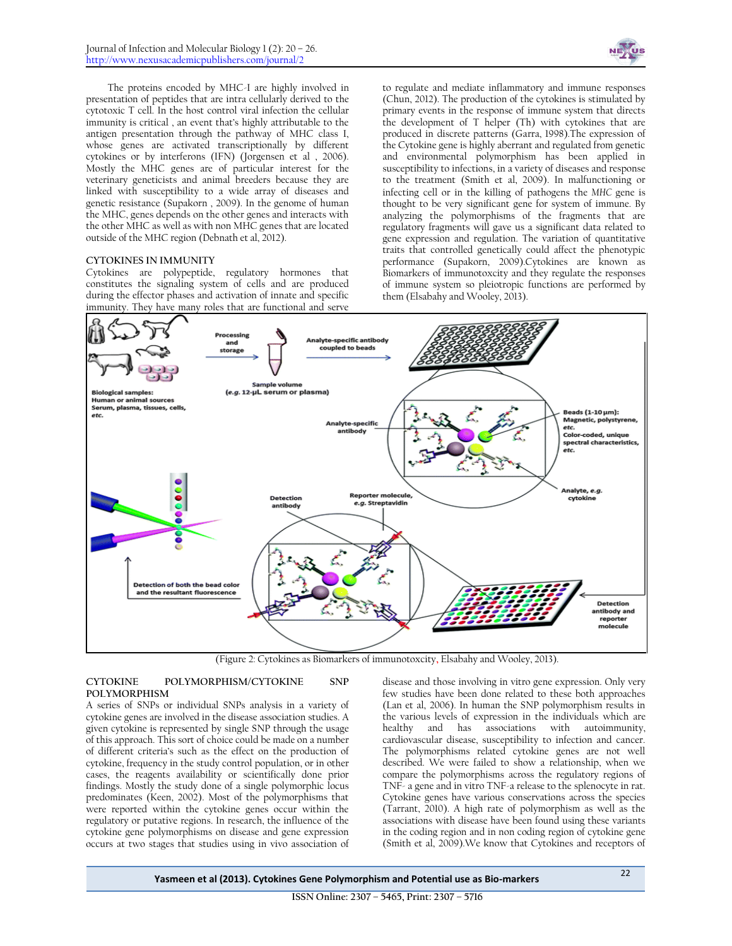

The proteins encoded by MHC-I are highly involved in presentation of peptides that are intra cellularly derived to the cytotoxic T cell. In the host control viral infection the cellular immunity is critical , an event that's highly attributable to the antigen presentation through the pathway of MHC class I, whose genes are activated transcriptionally by different cytokines or by interferons (IFN) (Jorgensen et al , 2006). Mostly the MHC genes are of particular interest for the veterinary geneticists and animal breeders because they are linked with susceptibility to a wide array of diseases and genetic resistance (Supakorn , 2009). In the genome of human the MHC, genes depends on the other genes and interacts with the other MHC as well as with non MHC genes that are located outside of the MHC region (Debnath et al, 2012).

# **CYTOKINES IN IMMUNITY**

Cytokines are polypeptide, regulatory hormones that constitutes the signaling system of cells and are produced during the effector phases and activation of innate and specific immunity. They have many roles that are functional and serve

to regulate and mediate inflammatory and immune responses (Chun, 2012). The production of the cytokines is stimulated by primary events in the response of immune system that directs the development of T helper (Th) with cytokines that are produced in discrete patterns (Garra, 1998).The expression of the Cytokine gene is highly aberrant and regulated from genetic and environmental polymorphism has been applied in susceptibility to infections, in a variety of diseases and response to the treatment (Smith et al, 2009). In malfunctioning or infecting cell or in the killing of pathogens the *MHC* gene is thought to be very significant gene for system of immune. By analyzing the polymorphisms of the fragments that are regulatory fragments will gave us a significant data related to gene expression and regulation. The variation of quantitative traits that controlled genetically could affect the phenotypic performance (Supakorn, 2009).Cytokines are known as Biomarkers of immunotoxcity and they regulate the responses of immune system so pleiotropic functions are performed by them [\(Elsabahy](http://pubs.rsc.org/en/results?searchtext=Author%3AMahmoud%20Elsabahy) an[d Wooley,](http://pubs.rsc.org/en/results?searchtext=Author%3AKaren%20L.%20Wooley) 2013).



(Figure 2: Cytokines as Biomarkers of immunotoxcity**,** [Elsabahy](http://pubs.rsc.org/en/results?searchtext=Author%3AMahmoud%20Elsabahy) an[d Wooley,](http://pubs.rsc.org/en/results?searchtext=Author%3AKaren%20L.%20Wooley) 2013).

#### **CYTOKINE POLYMORPHISM/CYTOKINE SNP POLYMORPHISM**

A series of SNPs or individual SNPs analysis in a variety of cytokine genes are involved in the disease association studies. A given cytokine is represented by single SNP through the usage of this approach. This sort of choice could be made on a number of different criteria's such as the effect on the production of cytokine, frequency in the study control population, or in other cases, the reagents availability or scientifically done prior findings. Mostly the study done of a single polymorphic locus predominates (Keen, 2002). Most of the polymorphisms that were reported within the cytokine genes occur within the regulatory or putative regions. In research, the influence of the cytokine gene polymorphisms on disease and gene expression occurs at two stages that studies using in vivo association of

disease and those involving in vitro gene expression. Only very few studies have been done related to these both approaches (Lan et al, 2006). In human the SNP polymorphism results in the various levels of expression in the individuals which are healthy and has associations with autoimmunity, cardiovascular disease, susceptibility to infection and cancer. The polymorphisms related cytokine genes are not well described. We were failed to show a relationship, when we compare the polymorphisms across the regulatory regions of TNF- a gene and in vitro TNF-a release to the splenocyte in rat. Cytokine genes have various conservations across the species (Tarrant, 2010). A high rate of polymorphism as well as the associations with disease have been found using these variants in the coding region and in non coding region of cytokine gene (Smith et al, 2009).We know that Cytokines and receptors of

**Yasmeen et al (2013). Cytokines Gene Polymorphism and Potential use as Bio-markers** <sup>22</sup>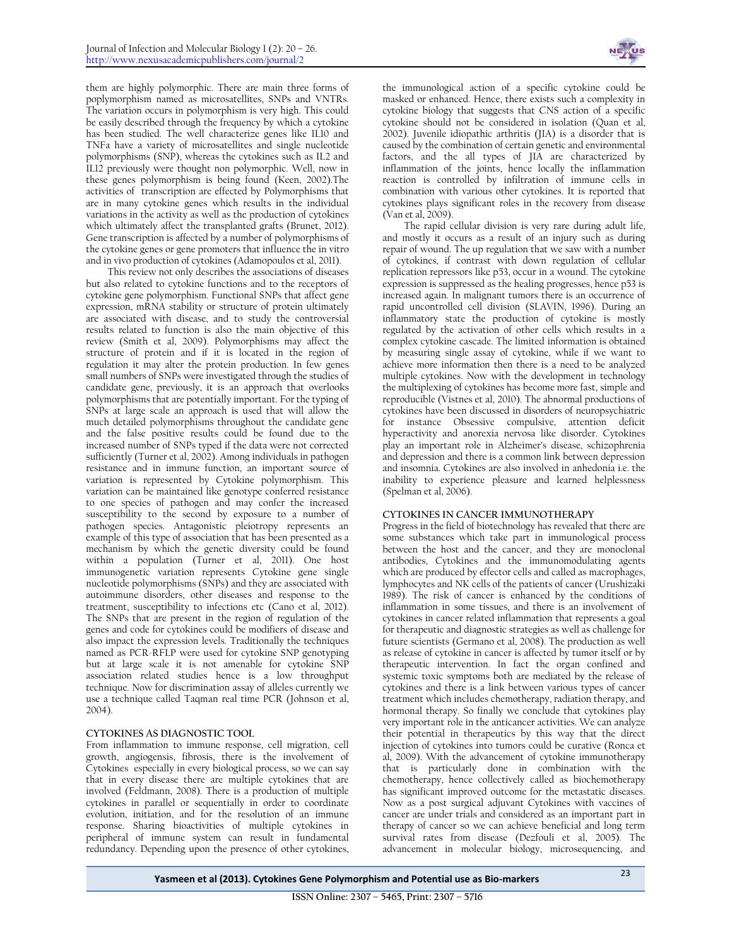them are highly polymorphic. There are main three forms of poplymorphism named as microsatellites, SNPs and VNTRs. The variation occurs in polymorphism is very high. This could be easily described through the frequency by which a cytokine has been studied. The well characterize genes like IL10 and TNFa have a variety of microsatellites and single nucleotide polymorphisms (SNP), whereas the cytokines such as IL2 and IL12 previously were thought non polymorphic. Well, now in these genes polymorphism is being found (Keen, 2002).The activities of transcription are effected by Polymorphisms that are in many cytokine genes which results in the individual variations in the activity as well as the production of cytokines which ultimately affect the transplanted grafts (Brunet, 2012). Gene transcription is affected by a number of polymorphisms of the cytokine genes or gene promoters that influence the in vitro and in vivo production of cytokines (Adamopoulos et al, 2011).

This review not only describes the associations of diseases but also related to cytokine functions and to the receptors of cytokine gene polymorphism. Functional SNPs that affect gene expression, mRNA stability or structure of protein ultimately are associated with disease, and to study the controversial results related to function is also the main objective of this review (Smith et al, 2009). Polymorphisms may affect the structure of protein and if it is located in the region of regulation it may alter the protein production. In few genes small numbers of SNPs were investigated through the studies of candidate gene, previously, it is an approach that overlooks polymorphisms that are potentially important. For the typing of SNPs at large scale an approach is used that will allow the much detailed polymorphisms throughout the candidate gene and the false positive results could be found due to the increased number of SNPs typed if the data were not corrected sufficiently (Turner et al, 2002). Among individuals in pathogen resistance and in immune function, an important source of variation is represented by Cytokine polymorphism. This variation can be maintained like genotype conferred resistance to one species of pathogen and may confer the increased susceptibility to the second by exposure to a number of pathogen species. Antagonistic pleiotropy represents an example of this type of association that has been presented as a mechanism by which the genetic diversity could be found within a population (Turner et al, 2011). One host immunogenetic variation represents Cytokine gene single nucleotide polymorphisms (SNPs) and they are associated with autoimmune disorders, other diseases and response to the treatment, susceptibility to infections etc (Cano et al, 2012). The SNPs that are present in the region of regulation of the genes and code for cytokines could be modifiers of disease and also impact the expression levels. Traditionally the techniques named as PCR-RFLP were used for cytokine SNP genotyping but at large scale it is not amenable for cytokine SNP association related studies hence is a low throughput technique. Now for discrimination assay of alleles currently we use a technique called Taqman real time PCR (Johnson et al, 2004).

# **CYTOKINES AS DIAGNOSTIC TOOL**

From inflammation to immune response, cell migration, cell growth, angiogensis, fibrosis, there is the involvement of Cytokines especially in every biological process, so we can say that in every disease there are multiple cytokines that are involved (Feldmann, 2008). There is a production of multiple cytokines in parallel or sequentially in order to coordinate evolution, initiation, and for the resolution of an immune response. Sharing bioactivities of multiple cytokines in peripheral of immune system can result in fundamental redundancy. Depending upon the presence of other cytokines,



the immunological action of a specific cytokine could be masked or enhanced. Hence, there exists such a complexity in cytokine biology that suggests that CNS action of a specific cytokine should not be considered in isolation (Quan et al, 2002). Juvenile idiopathic arthritis (JIA) is a disorder that is caused by the combination of certain genetic and environmental factors, and the all types of JIA are characterized by inflammation of the joints, hence locally the inflammation reaction is controlled by infiltration of immune cells in combination with various other cytokines. It is reported that cytokines plays significant roles in the recovery from disease (Van et al, 2009).

The rapid cellular division is very rare during adult life, and mostly it occurs as a result of an injury such as during repair of wound. The up regulation that we saw with a number of cytokines, if contrast with down regulation of cellular replication repressors like p53, occur in a wound. The cytokine expression is suppressed as the healing progresses, hence p53 is increased again. In malignant tumors there is an occurrence of rapid uncontrolled cell division (SLAVIN, 1996). During an inflammatory state the production of cytokine is mostly regulated by the activation of other cells which results in a complex cytokine cascade. The limited information is obtained by measuring single assay of cytokine, while if we want to achieve more information then there is a need to be analyzed multiple cytokines. Now with the development in technology the multiplexing of cytokines has become more fast, simple and reproducible [\(Vistnes e](http://www.ncbi.nlm.nih.gov/pubmed?term=Vistnes%20M%5BAuthor%5D&cauthor=true&cauthor_uid=20214534)t al, 2010). The abnormal productions of cytokines have been discussed in disorders of neuropsychiatric for instance Obsessive compulsive, attention deficit hyperactivity and anorexia nervosa like disorder. Cytokines play an important role in Alzheimer's disease, schizophrenia and depression and there is a common link between depression and insomnia. Cytokines are also involved in anhedonia i.e. the inability to experience pleasure and learned helplessness (Spelman et al, 2006).

# **CYTOKINES IN CANCER IMMUNOTHERAPY**

Progress in the field of biotechnology has revealed that there are some substances which take part in immunological process between the host and the cancer, and they are monoclonal antibodies, Cytokines and the immunomodulating agents which are produced by effector cells and called as macrophages, lymphocytes and NK cells of the patients of cancer [\(Urushizaki](http://www.ncbi.nlm.nih.gov/pubmed?term=Urushizaki%20I%5BAuthor%5D&cauthor=true&cauthor_uid=2471455)  1989). The risk of cancer is enhanced by the conditions of inflammation in some tissues, and there is an involvement of cytokines in cancer related inflammation that represents a goal for therapeutic and diagnostic strategies as well as challenge for future scientists (Germano et al, 2008). The production as well as release of cytokine in cancer is affected by tumor itself or by therapeutic intervention. In fact the organ confined and systemic toxic symptoms both are mediated by the release of cytokines and there is a link between various types of cancer treatment which includes chemotherapy, radiation therapy, and hormonal therapy. So finally we conclude that cytokines play very important role in the anticancer activities. We can analyze their potential in therapeutics by this way that the direct injection of cytokines into tumors could be curative (Ronca et al, 2009). With the advancement of cytokine immunotherapy that is particularly done in combination with the chemotherapy, hence collectively called as biochemotherapy has significant improved outcome for the metastatic diseases. Now as a post surgical adjuvant Cytokines with vaccines of cancer are under trials and considered as an important part in therapy of cancer so we can achieve beneficial and long term survival rates from disease (Dezfouli et al, 2005). The advancement in molecular biology, microsequencing, and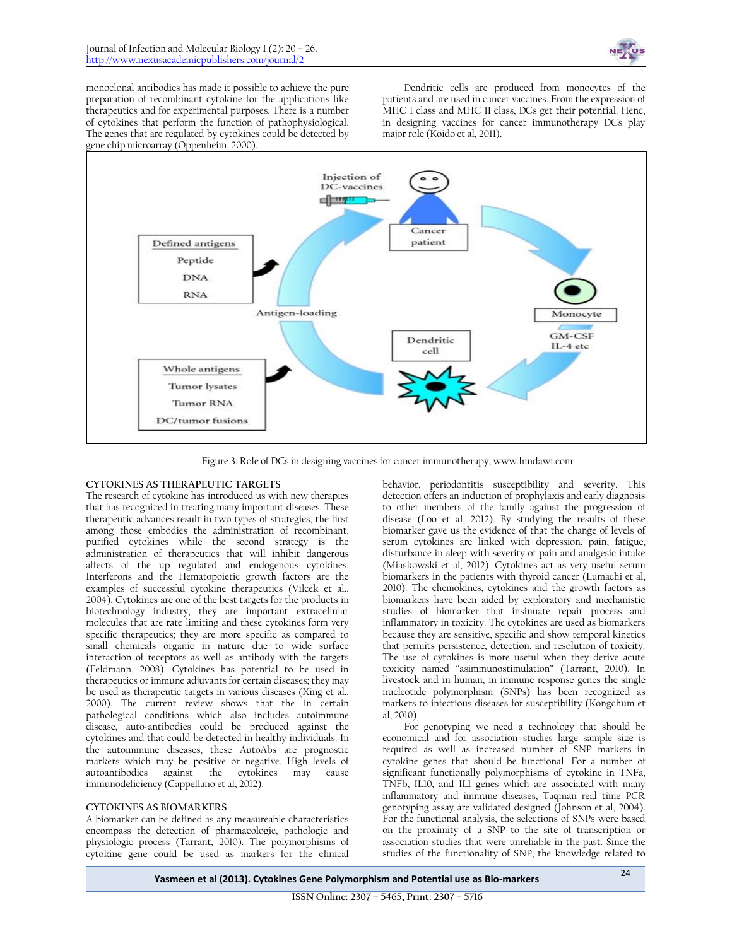

monoclonal antibodies has made it possible to achieve the pure preparation of recombinant cytokine for the applications like therapeutics and for experimental purposes. There is a number of cytokines that perform the function of pathophysiological. The genes that are regulated by cytokines could be detected by gene chip microarray (Oppenheim, 2000).

Dendritic cells are produced from monocytes of the patients and are used in cancer vaccines. From the expression of MHC I class and MHC II class, DCs get their potential. Henc, in designing vaccines for cancer immunotherapy DCs play major role (Koido et al, 2011).



Figure 3: Role of DCs in designing vaccines for cancer immunotherapy[, www.hindawi.com](http://www.hindawi.com/journals/cdi/2011/267539/fig4/)

# **CYTOKINES AS THERAPEUTIC TARGETS**

The research of cytokine has introduced us with new therapies that has recognized in treating many important diseases. These therapeutic advances result in two types of strategies, the first among those embodies the administration of recombinant, purified cytokines while the second strategy is the administration of therapeutics that will inhibit dangerous affects of the up regulated and endogenous cytokines. Interferons and the Hematopoietic growth factors are the examples of successful cytokine therapeutics [\(Vilcek e](http://www.ncbi.nlm.nih.gov/pubmed?term=Vilcek%20J%5BAuthor%5D&cauthor=true&cauthor_uid=15063084)t al., 2004). Cytokines are one of the best targets for the products in biotechnology industry, they are important extracellular molecules that are rate limiting and these cytokines form very specific therapeutics; they are more specific as compared to small chemicals organic in nature due to wide surface interaction of receptors as well as antibody with the targets (Feldmann, 2008). Cytokines has potential to be used in therapeutics or immune adjuvants for certain diseases; they may be used as therapeutic targets in various diseases (Xing et al., 2000). The current review shows that the in certain pathological conditions which also includes autoimmune disease, auto-antibodies could be produced against the cytokines and that could be detected in healthy individuals. In the autoimmune diseases, these AutoAbs are prognostic markers which may be positive or negative. High levels of autoantibodies against the cytokines may cause immunodeficiency (Cappellano et al, 2012).

# **CYTOKINES AS BIOMARKERS**

A biomarker can be defined as any measureable characteristics encompass the detection of pharmacologic, pathologic and physiologic process (Tarrant, 2010). The polymorphisms of cytokine gene could be used as markers for the clinical behavior, periodontitis susceptibility and severity. This detection offers an induction of prophylaxis and early diagnosis to other members of the family against the progression of disease (Loo et al, 2012). By studying the results of these biomarker gave us the evidence of that the change of levels of serum cytokines are linked with depression, pain, fatigue, disturbance in sleep with severity of pain and analgesic intake (Miaskowski et al, 2012). Cytokines act as very useful serum biomarkers in the patients with thyroid cancer (Lumachi et al, 2010). The chemokines, cytokines and the growth factors as biomarkers have been aided by exploratory and mechanistic studies of biomarker that insinuate repair process and inflammatory in toxicity. The cytokines are used as biomarkers because they are sensitive, specific and show temporal kinetics that permits persistence, detection, and resolution of toxicity. The use of cytokines is more useful when they derive acute toxicity named "asimmunostimulation" (Tarrant, 2010). In livestock and in human, in immune response genes the single nucleotide polymorphism (SNPs) has been recognized as markers to infectious diseases for susceptibility (Kongchum et al, 2010).

For genotyping we need a technology that should be economical and for association studies large sample size is required as well as increased number of SNP markers in cytokine genes that should be functional. For a number of significant functionally polymorphisms of cytokine in TNFa, TNFb, IL10, and IL1 genes which are associated with many inflammatory and immune diseases, Taqman real time PCR genotyping assay are validated designed (Johnson et al, 2004). For the functional analysis, the selections of SNPs were based on the proximity of a SNP to the site of transcription or association studies that were unreliable in the past. Since the studies of the functionality of SNP, the knowledge related to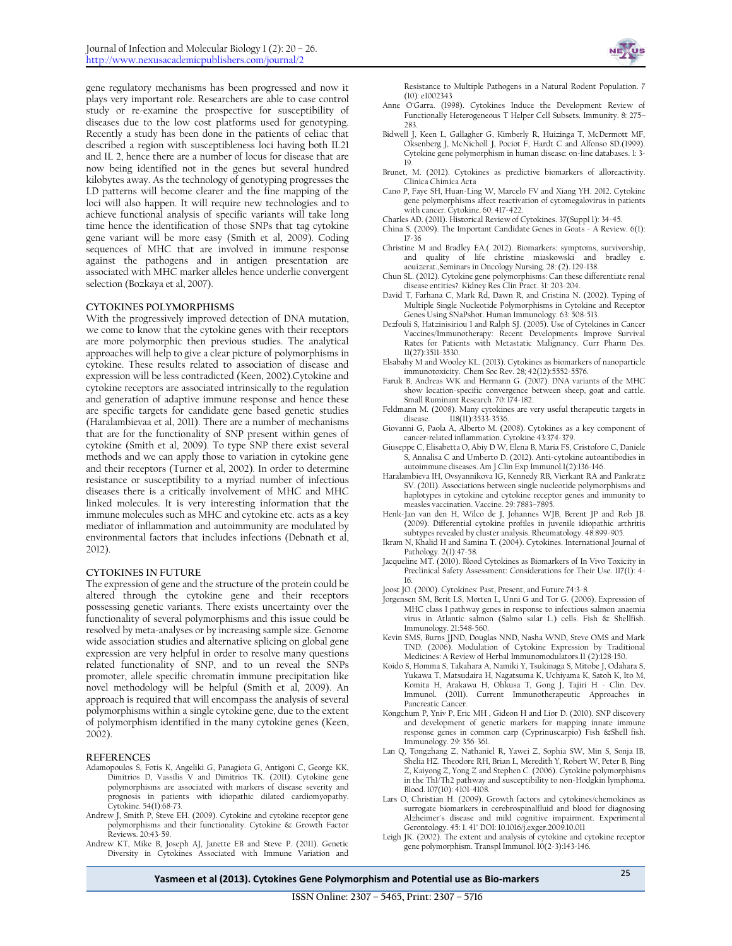gene regulatory mechanisms has been progressed and now it plays very important role. Researchers are able to case control study or re-examine the prospective for susceptibility of diseases due to the low cost platforms used for genotyping. Recently a study has been done in the patients of celiac that described a region with susceptibleness loci having both IL21 and IL 2, hence there are a number of locus for disease that are now being identified not in the genes but several hundred kilobytes away. As the technology of genotyping progresses the LD patterns will become clearer and the fine mapping of the loci will also happen. It will require new technologies and to achieve functional analysis of specific variants will take long time hence the identification of those SNPs that tag cytokine gene variant will be more easy (Smith et al, 2009). Coding sequences of MHC that are involved in immune response against the pathogens and in antigen presentation are associated with MHC marker alleles hence underlie convergent selection (Bozkaya et al, 2007).

#### **CYTOKINES POLYMORPHISMS**

With the progressively improved detection of DNA mutation, we come to know that the cytokine genes with their receptors are more polymorphic then previous studies. The analytical approaches will help to give a clear picture of polymorphisms in cytokine. These results related to association of disease and expression will be less contradicted (Keen, 2002).Cytokine and cytokine receptors are associated intrinsically to the regulation and generation of adaptive immune response and hence these are specific targets for candidate gene based genetic studies (Haralambievaa et al, 2011). There are a number of mechanisms that are for the functionality of SNP present within genes of cytokine (Smith et al, 2009). To type SNP there exist several methods and we can apply those to variation in cytokine gene and their receptors (Turner et al, 2002). In order to determine resistance or susceptibility to a myriad number of infectious diseases there is a critically involvement of MHC and MHC linked molecules. It is very interesting information that the immune molecules such as MHC and cytokine etc. acts as a key mediator of inflammation and autoimmunity are modulated by environmental factors that includes infections (Debnath et al, 2012).

#### **CYTOKINES IN FUTURE**

The expression of gene and the structure of the protein could be altered through the cytokine gene and their receptors possessing genetic variants. There exists uncertainty over the functionality of several polymorphisms and this issue could be resolved by meta-analyses or by increasing sample size. Genome wide association studies and alternative splicing on global gene expression are very helpful in order to resolve many questions related functionality of SNP, and to un reveal the SNPs promoter, allele specific chromatin immune precipitation like novel methodology will be helpful (Smith et al, 2009). An approach is required that will encompass the analysis of several polymorphisms within a single cytokine gene, due to the extent of polymorphism identified in the many cytokine genes (Keen, 2002).

#### **REFERENCES**

- Adamopoulos S, Fotis K, Angeliki G, Panagiota G, Antigoni C, George KK, Dimitrios D, Vassilis V and Dimitrios TK. (2011). Cytokine gene polymorphisms are associated with markers of disease severity and prognosis in patients with idiopathic dilated cardiomyopathy. Cytokine. 54(1):68-73.
- Andrew J, Smith P, Steve EH. (2009). Cytokine and cytokine receptor gene polymorphisms and their functionality. Cytokine & Growth Factor Reviews. 20:43-59.
- Andrew KT, Mike B, Joseph AJ, Janette EB and Steve P. (2011). Genetic Diversity in Cytokines Associated with Immune Variation and



Resistance to Multiple Pathogens in a Natural Rodent Population. 7 (10): e1002343

- Anne O'Garra. (1998). Cytokines Induce the Development Review of Functionally Heterogeneous T Helper Cell Subsets. Immunity. 8: 275– 283.
- Bidwell J, Keen L, Gallagher G, Kimberly R, Huizinga T, McDermott MF, Oksenberg J, McNicholl J, Pociot F, Hardt C and Alfonso SD.(1999). Cytokine gene polymorphism in human disease: on-line databases. 1: 3- 19.
- Brunet, M. (2012). Cytokines as predictive biomarkers of alloreactivity. Clinica Chimica Acta
- Cano P, Faye SH, Huan-Ling W, Marcelo FV and Xiang YH. 2012. Cytokine gene polymorphisms affect reactivation of cytomegalovirus in patients with cancer. Cytokine. 60: 417-422.
- Charles AD. (2011). Historical Review of Cytokines. 37(Suppl 1): 34-45.
- China S. (2009). The Important Candidate Genes in Goats A Review. 6(1): 17-36
- Christine M and Bradley EA.( 2012). Biomarkers: symptoms, survivorship, and quality of life christine miaskowski and bradley e. aouizerat.,Seminars in Oncology Nursing. 28: (2). 129-138.
- Chun SL. (2012). Cytokine gene polymorphisms: Can these differentiate renal disease entities?. Kidney Res Clin Pract. 31: 203-204.
- David T, Farhana C, Mark Rd, Dawn R, and Cristina N. (2002). Typing of Multiple Single Nucleotide Polymorphisms in Cytokine and Receptor Genes Using SNaPshot. Human Immunology. 63: 508-513.
- Dezfouli S, Hatzinisiriou I and Ralph SJ. (2005). Use of Cytokines in Cancer Vaccines/Immunotherapy: Recent Developments Improve Survival Rates for Patients with Metastatic Malignancy. Curr Pharm Des. 11(27):3511-3530.
- [Elsabahy](http://pubs.rsc.org/en/results?searchtext=Author%3AMahmoud%20Elsabahy) M and [Wooley](http://pubs.rsc.org/en/results?searchtext=Author%3AKaren%20L.%20Wooley) KL. (2013). Cytokines as biomarkers of nanoparticle immunotoxicity. Chem Soc Rev. 28; 42(12):5552-5576.
- Faruk B, Andreas WK and Hermann G. (2007). DNA variants of the MHC show location-specific convergence between sheep, goat and cattle. Small Ruminant Research. 70: 174-182.
- Feldmann M. (2008). Many cytokines are very useful therapeutic targets in disease. 118(11):3533-3536.
- Giovanni G, Paola A, Alberto M. (2008). Cytokines as a key component of cancer-related inflammation. Cytokine 43:374-379.
- Giuseppe C, Elisabetta O, Abiy D W, Elena B, Maria FS, Cristoforo C, Daniele S, Annalisa C and Umberto D. (2012). Anti-cytokine autoantibodies in autoimmune diseases. Am J Clin Exp Immunol.1(2):136-146.
- Haralambieva IH, Ovsyannikova IG, Kennedy RB, Vierkant RA and Pankratz SV. (2011). Associations between single nucleotide polymorphisms and haplotypes in cytokine and cytokine receptor genes and immunity to measles vaccination. Vaccine. 29: 7883-7895.
- Henk-Jan van den H, Wilco de J, Johannes WJB, Berent JP and Rob JB. (2009). Differential cytokine profiles in juvenile idiopathic arthritis subtypes revealed by cluster analysis. Rheumatology. 48:899-905.
- Ikram N, Khalid H and Samina T. (2004). Cytokines. International Journal of Pathology. 2(1):47-58.
- Jacqueline MT. (2010). Blood Cytokines as Biomarkers of In Vivo Toxicity in Preclinical Safety Assessment: Considerations for Their Use. 117(1): 4-16.
- Joost JO. (2000). Cytokines: Past, Present, and Future.74:3-8.
- Jorgensen SM, Berit LS, Morten L, Unni G and Tor G. (2006). Expression of MHC class I pathway genes in response to infectious salmon anaemia virus in Atlantic salmon (Salmo salar L.) cells. Fish & Shellfish. Immunology. 21:548-560.
- Kevin SMS, Burns JJND, Douglas NND, Nasha WND, Steve OMS and Mark TND. (2006). Modulation of Cytokine Expression by Traditional Medicines: A Review of Herbal Immunomodulators.11 (2):128-150.
- Koido S, Homma S, Takahara A, Namiki Y, Tsukinaga S, Mitobe J, Odahara S, Yukawa T, Matsudaira H, Nagatsuma K, Uchiyama K, Satoh K, Ito M, Komita H, Arakawa H, Ohkusa T, Gong J, Tajiri H - Clin. Dev. Immunol. (2011). Current Immunotherapeutic Approaches in Pancreatic Cancer.
- Kongchum P, Yniv P, Eric MH , Gideon H and Lior D. (2010). SNP discovery and development of genetic markers for mapping innate immune response genes in common carp (Cyprinuscarpio) Fish &Shell fish. Immunology. 29: 356-361.
- Lan Q, Tongzhang Z, Nathaniel R, Yawei Z, Sophia SW, Min S, Sonja IB, Shelia HZ. Theodore RH, Brian L, Meredith Y, Robert W, Peter B, Bing Z, Kaiyong Z, Yong Z and Stephen C. (2006). Cytokine polymorphisms in the Th1/Th2 pathway and susceptibility to non-Hodgkin lymphoma. Blood. 107(10): 4101-4108.
- Lars O, Christian H. (2009). Growth factors and cytokines/chemokines as surrogate biomarkers in cerebrospinalfluid and blood for diagnosing Alzheimer´s disease and mild cognitive impairment. Experimental Gerontology. 45: 1. 41" DOI: 10.1016/j.exger.2009.10.011
- Leigh JK. (2002). The extent and analysis of cytokine and cytokine receptor gene polymorphism. Transpl Immunol. 10(2-3):143-146.

**Yasmeen et al (2013). Cytokines Gene Polymorphism and Potential use as Bio-markers** <sup>25</sup>